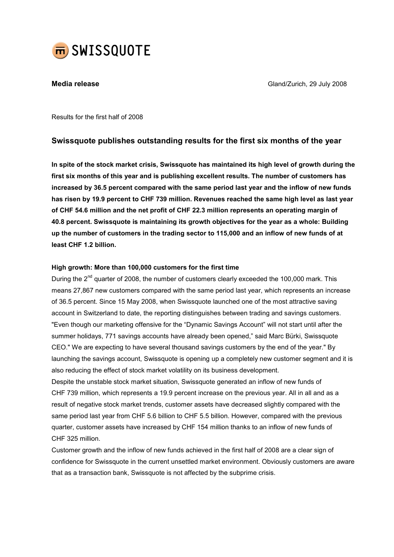

**Media release** Gland/Zurich, 29 July 2008

Results for the first half of 2008

# Swissquote publishes outstanding results for the first six months of the year

In spite of the stock market crisis, Swissquote has maintained its high level of growth during the first six months of this year and is publishing excellent results. The number of customers has increased by 36.5 percent compared with the same period last year and the inflow of new funds has risen by 19.9 percent to CHF 739 million. Revenues reached the same high level as last year of CHF 54.6 million and the net profit of CHF 22.3 million represents an operating margin of 40.8 percent. Swissquote is maintaining its growth objectives for the year as a whole: Building up the number of customers in the trading sector to 115,000 and an inflow of new funds of at least CHF 1.2 billion.

### High growth: More than 100,000 customers for the first time

During the  $2^{nd}$  quarter of 2008, the number of customers clearly exceeded the 100,000 mark. This means 27,867 new customers compared with the same period last year, which represents an increase of 36.5 percent. Since 15 May 2008, when Swissquote launched one of the most attractive saving account in Switzerland to date, the reporting distinguishes between trading and savings customers. "Even though our marketing offensive for the "Dynamic Savings Account" will not start until after the summer holidays, 771 savings accounts have already been opened," said Marc Bürki, Swissquote CEO." We are expecting to have several thousand savings customers by the end of the year." By launching the savings account, Swissquote is opening up a completely new customer segment and it is also reducing the effect of stock market volatility on its business development.

Despite the unstable stock market situation, Swissquote generated an inflow of new funds of CHF 739 million, which represents a 19.9 percent increase on the previous year. All in all and as a result of negative stock market trends, customer assets have decreased slightly compared with the same period last year from CHF 5.6 billion to CHF 5.5 billion. However, compared with the previous quarter, customer assets have increased by CHF 154 million thanks to an inflow of new funds of CHF 325 million.

Customer growth and the inflow of new funds achieved in the first half of 2008 are a clear sign of confidence for Swissquote in the current unsettled market environment. Obviously customers are aware that as a transaction bank, Swissquote is not affected by the subprime crisis.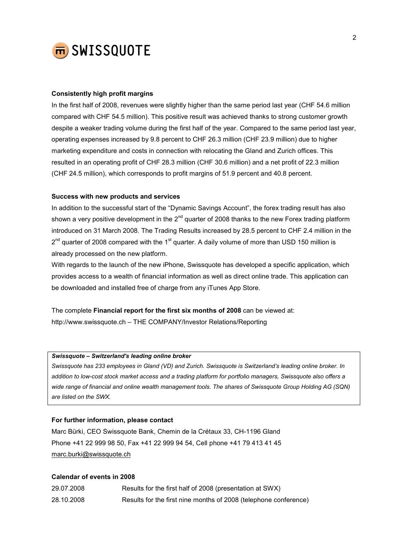

## Consistently high profit margins

In the first half of 2008, revenues were slightly higher than the same period last year (CHF 54.6 million compared with CHF 54.5 million). This positive result was achieved thanks to strong customer growth despite a weaker trading volume during the first half of the year. Compared to the same period last year, operating expenses increased by 9.8 percent to CHF 26.3 million (CHF 23.9 million) due to higher marketing expenditure and costs in connection with relocating the Gland and Zurich offices. This resulted in an operating profit of CHF 28.3 million (CHF 30.6 million) and a net profit of 22.3 million (CHF 24.5 million), which corresponds to profit margins of 51.9 percent and 40.8 percent.

#### Success with new products and services

In addition to the successful start of the "Dynamic Savings Account", the forex trading result has also shown a very positive development in the  $2^{nd}$  quarter of 2008 thanks to the new Forex trading platform introduced on 31 March 2008. The Trading Results increased by 28.5 percent to CHF 2.4 million in the  $2^{nd}$  quarter of 2008 compared with the 1<sup>st</sup> quarter. A daily volume of more than USD 150 million is already processed on the new platform.

With regards to the launch of the new iPhone, Swissquote has developed a specific application, which provides access to a wealth of financial information as well as direct online trade. This application can be downloaded and installed free of charge from any iTunes App Store.

The complete Financial report for the first six months of 2008 can be viewed at: http://www.swissquote.ch – THE COMPANY/Investor Relations/Reporting

#### Swissquote – Switzerland's leading online broker

Swissquote has 233 employees in Gland (VD) and Zurich. Swissquote is Switzerland's leading online broker. In addition to low-cost stock market access and a trading platform for portfolio managers, Swissquote also offers a wide range of financial and online wealth management tools. The shares of Swissquote Group Holding AG (SQN) are listed on the SWX.

#### For further information, please contact

Marc Bürki, CEO Swissquote Bank, Chemin de la Crétaux 33, CH-1196 Gland Phone +41 22 999 98 50, Fax +41 22 999 94 54, Cell phone +41 79 413 41 45 marc.burki@swissquote.ch

#### Calendar of events in 2008

| 29.07.2008 | Results for the first half of 2008 (presentation at SWX)         |
|------------|------------------------------------------------------------------|
| 28.10.2008 | Results for the first nine months of 2008 (telephone conference) |